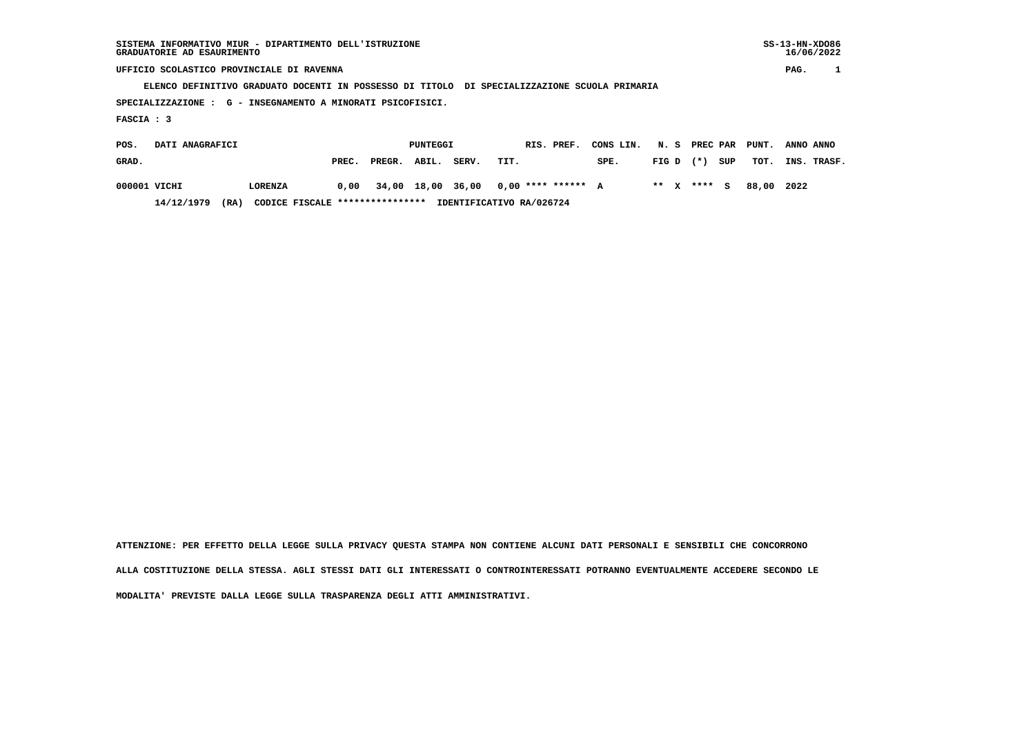## **UFFICIO SCOLASTICO PROVINCIALE DI RAVENNA PAG. 1**

 **ELENCO DEFINITIVO GRADUATO DOCENTI IN POSSESSO DI TITOLO DI SPECIALIZZAZIONE SCUOLA PRIMARIA**

 **SPECIALIZZAZIONE : G - INSEGNAMENTO A MINORATI PSICOFISICI.**

 **FASCIA : 3**

| POS.<br><b>DATI ANAGRAFICI</b> |              |      |                                 |       |              | PUNTEGGI |       | RIS. PREF. CONS LIN. N. S PREC PAR PUNT. ANNO ANNO |      |  |              |                        |                  |  |
|--------------------------------|--------------|------|---------------------------------|-------|--------------|----------|-------|----------------------------------------------------|------|--|--------------|------------------------|------------------|--|
| GRAD.                          |              |      |                                 | PREC. | PREGR. ABIL. |          | SERV. | TIT.                                               | SPE. |  | FIGD (*) SUP |                        | TOT. INS. TRASF. |  |
|                                | 000001 VICHI |      | LORENZA                         |       |              |          |       | $0.00$ 34,00 18,00 36,00 0,00 **** ****** A        |      |  |              | ** x **** s 88.00 2022 |                  |  |
|                                | 14/12/1979   | (RA) | CODICE FISCALE **************** |       |              |          |       | IDENTIFICATIVO RA/026724                           |      |  |              |                        |                  |  |

 **ATTENZIONE: PER EFFETTO DELLA LEGGE SULLA PRIVACY QUESTA STAMPA NON CONTIENE ALCUNI DATI PERSONALI E SENSIBILI CHE CONCORRONO ALLA COSTITUZIONE DELLA STESSA. AGLI STESSI DATI GLI INTERESSATI O CONTROINTERESSATI POTRANNO EVENTUALMENTE ACCEDERE SECONDO LE MODALITA' PREVISTE DALLA LEGGE SULLA TRASPARENZA DEGLI ATTI AMMINISTRATIVI.**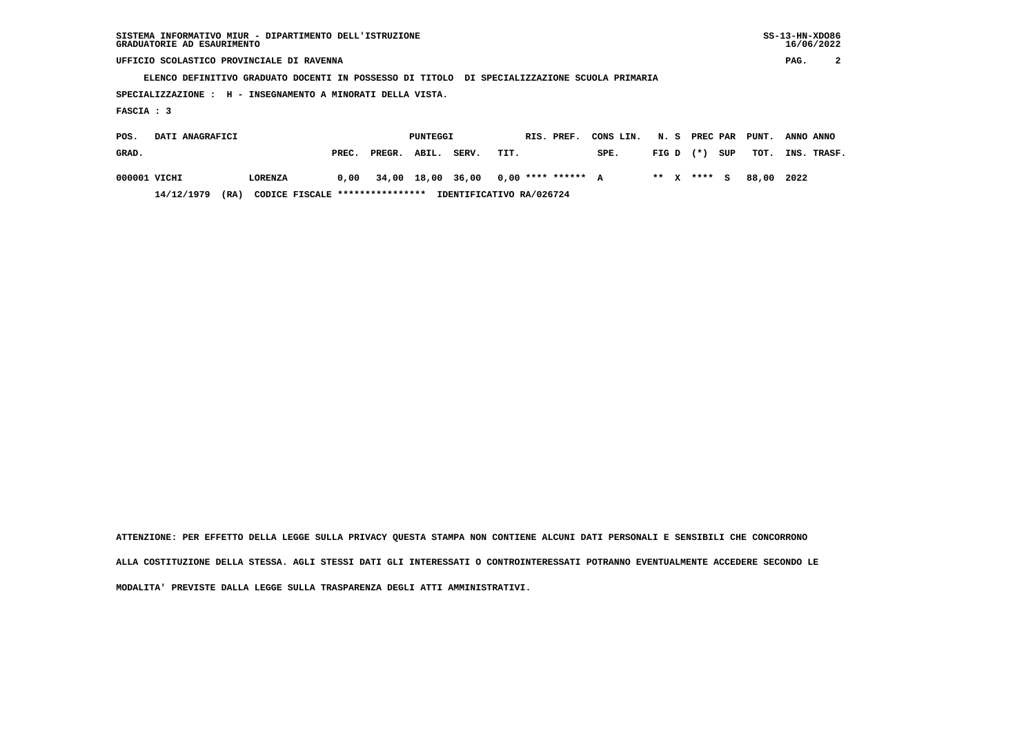| SISTEMA INFORMATIVO MIUR - DIPARTIMENTO DELL'ISTRUZIONE | $SS-13-HN-XDO86$ |
|---------------------------------------------------------|------------------|
| GRADUATORIE AD ESAURIMENTO                              | 16/06/2022       |

 **SISTEMA INFORMATIVO MIUR - DIPARTIMENTO DELL'ISTRUZIONE SS-13-HN-XDO86** $16/06/2022$ 

 **UFFICIO SCOLASTICO PROVINCIALE DI RAVENNA PAG. 2**

 **ELENCO DEFINITIVO GRADUATO DOCENTI IN POSSESSO DI TITOLO DI SPECIALIZZAZIONE SCUOLA PRIMARIA**

 **SPECIALIZZAZIONE : H - INSEGNAMENTO A MINORATI DELLA VISTA.**

 **FASCIA : 3**

| POS.<br>DATI ANAGRAFICI |              |                                        |       | PUNTEGGI     |  |       | RIS. PREF.                                  | CONS LIN. N. S PREC PAR PUNT. |  |             |     |       | ANNO ANNO   |
|-------------------------|--------------|----------------------------------------|-------|--------------|--|-------|---------------------------------------------|-------------------------------|--|-------------|-----|-------|-------------|
| GRAD.                   |              |                                        | PREC. | PREGR. ABIL. |  | SERV. | TIT.                                        | SPE.                          |  | $FIG D (*)$ | SUP | тот.  | INS. TRASF. |
|                         | 000001 VICHI | LORENZA                                |       |              |  |       | $0,00$ 34,00 18,00 36,00 0,00 **** ****** A |                               |  | ** x **** S |     | 88.00 | 2022        |
|                         | 14/12/1979   | CODICE FISCALE ****************<br>'RA |       |              |  |       | IDENTIFICATIVO RA/026724                    |                               |  |             |     |       |             |

 **ATTENZIONE: PER EFFETTO DELLA LEGGE SULLA PRIVACY QUESTA STAMPA NON CONTIENE ALCUNI DATI PERSONALI E SENSIBILI CHE CONCORRONO ALLA COSTITUZIONE DELLA STESSA. AGLI STESSI DATI GLI INTERESSATI O CONTROINTERESSATI POTRANNO EVENTUALMENTE ACCEDERE SECONDO LE MODALITA' PREVISTE DALLA LEGGE SULLA TRASPARENZA DEGLI ATTI AMMINISTRATIVI.**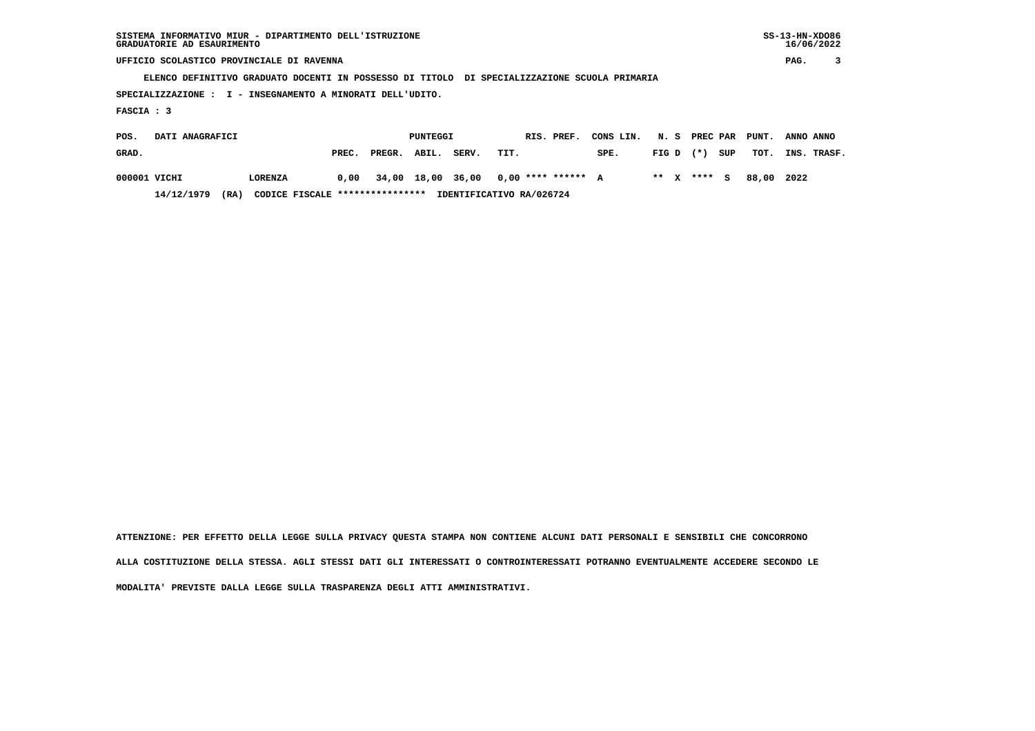| SISTEMA INFORMATIVO MIUR - DIPARTIMENTO DELL'ISTRUZIONE | $SS-13-HN-XDO86$ |
|---------------------------------------------------------|------------------|
| GRADUATORIE AD ESAURIMENTO                              | 16/06/2022       |

 **SISTEMA INFORMATIVO MIUR - DIPARTIMENTO DELL'ISTRUZIONE SS-13-HN-XDO86** $16/06/2022$ 

 **UFFICIO SCOLASTICO PROVINCIALE DI RAVENNA PAG. 3**

 **ELENCO DEFINITIVO GRADUATO DOCENTI IN POSSESSO DI TITOLO DI SPECIALIZZAZIONE SCUOLA PRIMARIA**

 **SPECIALIZZAZIONE : I - INSEGNAMENTO A MINORATI DELL'UDITO.**

 **FASCIA : 3**

| POS.<br>DATI ANAGRAFICI |              |                                        |       | PUNTEGGI     |  |       | RIS. PREF.                                  | CONS LIN. N. S PREC PAR PUNT. |  |             |     |       | ANNO ANNO   |
|-------------------------|--------------|----------------------------------------|-------|--------------|--|-------|---------------------------------------------|-------------------------------|--|-------------|-----|-------|-------------|
| GRAD.                   |              |                                        | PREC. | PREGR. ABIL. |  | SERV. | TIT.                                        | SPE.                          |  | $FIG D (*)$ | SUP | тот.  | INS. TRASF. |
|                         | 000001 VICHI | LORENZA                                |       |              |  |       | $0,00$ 34,00 18,00 36,00 0,00 **** ****** A |                               |  | ** x **** S |     | 88.00 | 2022        |
|                         | 14/12/1979   | CODICE FISCALE ****************<br>'RA |       |              |  |       | IDENTIFICATIVO RA/026724                    |                               |  |             |     |       |             |

 **ATTENZIONE: PER EFFETTO DELLA LEGGE SULLA PRIVACY QUESTA STAMPA NON CONTIENE ALCUNI DATI PERSONALI E SENSIBILI CHE CONCORRONO ALLA COSTITUZIONE DELLA STESSA. AGLI STESSI DATI GLI INTERESSATI O CONTROINTERESSATI POTRANNO EVENTUALMENTE ACCEDERE SECONDO LE MODALITA' PREVISTE DALLA LEGGE SULLA TRASPARENZA DEGLI ATTI AMMINISTRATIVI.**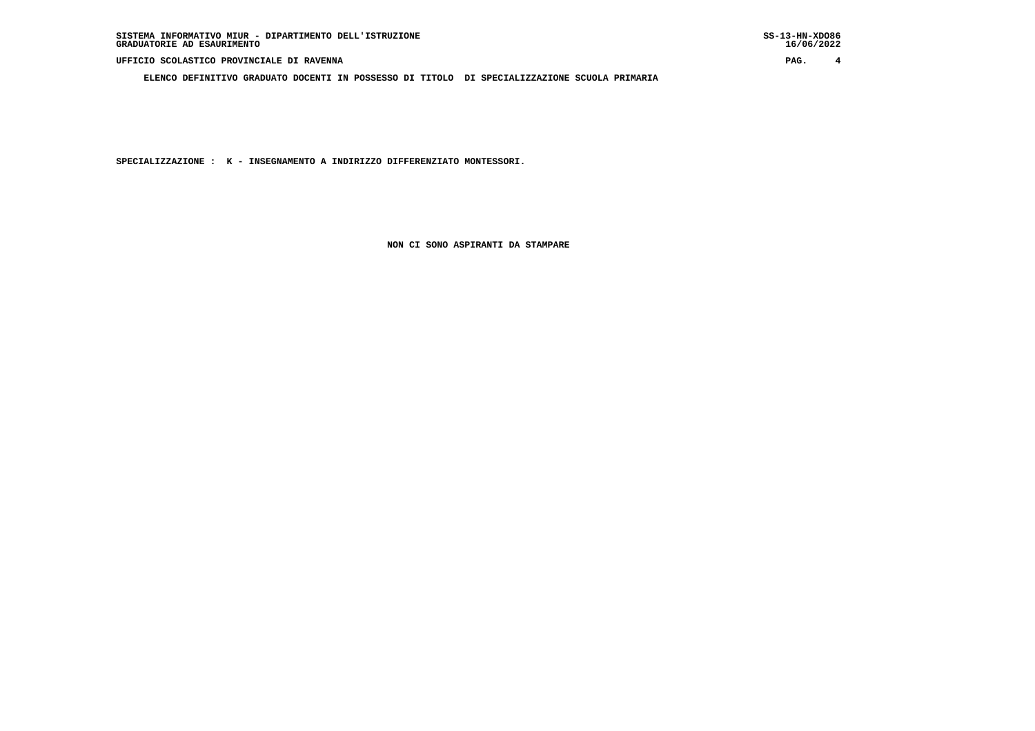**ELENCO DEFINITIVO GRADUATO DOCENTI IN POSSESSO DI TITOLO DI SPECIALIZZAZIONE SCUOLA PRIMARIA**

 **SPECIALIZZAZIONE : K - INSEGNAMENTO A INDIRIZZO DIFFERENZIATO MONTESSORI.**

 **NON CI SONO ASPIRANTI DA STAMPARE**